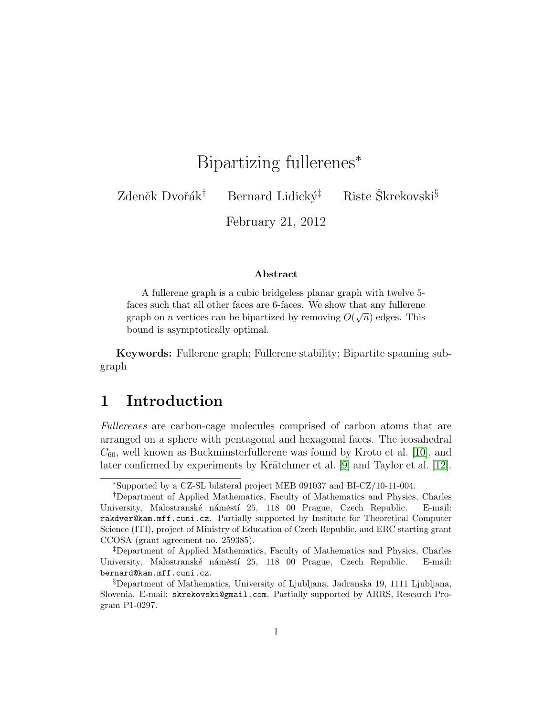# Bipartizing fullerenes<sup>\*</sup>

Zdeněk Dvořák<sup>†</sup> Bernard Lidický<sup>‡</sup> Riste Škrekovski<sup>§</sup>

February 21, 2012

#### Abstract

A fullerene graph is a cubic bridgeless planar graph with twelve 5 faces such that all other faces are 6-faces. We show that any fullerene graph on *n* vertices can be bipartized by removing  $O(\sqrt{n})$  edges. This bound is asymptotically optimal.

Keywords: Fullerene graph; Fullerene stability; Bipartite spanning subgraph

# 1 Introduction

Fullerenes are carbon-cage molecules comprised of carbon atoms that are arranged on a sphere with pentagonal and hexagonal faces. The icosahedral  $C_{60}$ , well known as Buckminsterfullerene was found by Kroto et al. [\[10\]](#page-13-0), and later confirmed by experiments by Krätchmer et al. [\[9\]](#page-13-1) and Taylor et al. [\[12\]](#page-13-2).

<sup>∗</sup>Supported by a CZ-SL bilateral project MEB 091037 and BI-CZ/10-11-004.

<sup>†</sup>Department of Applied Mathematics, Faculty of Mathematics and Physics, Charles University, Malostranské náměstí 25, 118 00 Prague, Czech Republic. E-mail: rakdver@kam.mff.cuni.cz. Partially supported by Institute for Theoretical Computer Science (ITI), project of Ministry of Education of Czech Republic, and ERC starting grant CCOSA (grant agreement no. 259385).

<sup>‡</sup>Department of Applied Mathematics, Faculty of Mathematics and Physics, Charles University, Malostranské náměstí 25, 118 00 Prague, Czech Republic. E-mail: bernard@kam.mff.cuni.cz.

<sup>§</sup>Department of Mathematics, University of Ljubljana, Jadranska 19, 1111 Ljubljana, Slovenia. E-mail: skrekovski@gmail.com. Partially supported by ARRS, Research Program P1-0297.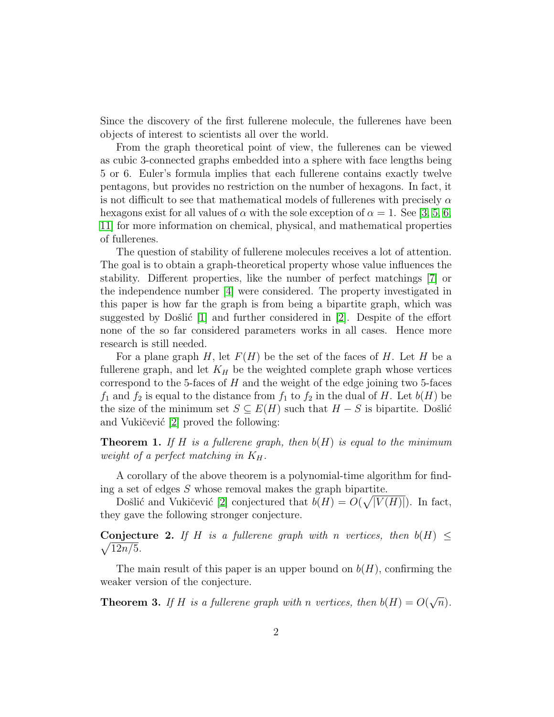Since the discovery of the first fullerene molecule, the fullerenes have been objects of interest to scientists all over the world.

From the graph theoretical point of view, the fullerenes can be viewed as cubic 3-connected graphs embedded into a sphere with face lengths being 5 or 6. Euler's formula implies that each fullerene contains exactly twelve pentagons, but provides no restriction on the number of hexagons. In fact, it is not difficult to see that mathematical models of fullerenes with precisely  $\alpha$ hexagons exist for all values of  $\alpha$  with the sole exception of  $\alpha = 1$ . See [\[3,](#page-12-0) [5,](#page-12-1) [6,](#page-13-3) [11\]](#page-13-4) for more information on chemical, physical, and mathematical properties of fullerenes.

The question of stability of fullerene molecules receives a lot of attention. The goal is to obtain a graph-theoretical property whose value influences the stability. Different properties, like the number of perfect matchings [\[7\]](#page-13-5) or the independence number [\[4\]](#page-12-2) were considered. The property investigated in this paper is how far the graph is from being a bipartite graph, which was suggested by Došlić  $[1]$  and further considered in  $[2]$ . Despite of the effort none of the so far considered parameters works in all cases. Hence more research is still needed.

For a plane graph H, let  $F(H)$  be the set of the faces of H. Let H be a fullerene graph, and let  $K_H$  be the weighted complete graph whose vertices correspond to the 5-faces of  $H$  and the weight of the edge joining two 5-faces  $f_1$  and  $f_2$  is equal to the distance from  $f_1$  to  $f_2$  in the dual of H. Let  $b(H)$  be the size of the minimum set  $S \subseteq E(H)$  such that  $H - S$  is bipartite. Došlić and Vukičević  $[2]$  proved the following:

<span id="page-1-1"></span>**Theorem 1.** If H is a fullerene graph, then  $b(H)$  is equal to the minimum weight of a perfect matching in  $K_H$ .

A corollary of the above theorem is a polynomial-time algorithm for finding a set of edges  $S$  whose removal makes the graph bipartite.

Došlić and Vukičević [\[2\]](#page-12-4) conjectured that  $b(H) = O(\sqrt{|V(H)|})$ . In fact, they gave the following stronger conjecture.

 $\sqrt{12n/5}$ . **Conjecture 2.** If H is a fullerene graph with n vertices, then  $b(H) \leq$ 

The main result of this paper is an upper bound on  $b(H)$ , confirming the weaker version of the conjecture.

<span id="page-1-0"></span>**Theorem 3.** If H is a fullerene graph with n vertices, then  $b(H) = O(q)$ √  $\overline{n}).$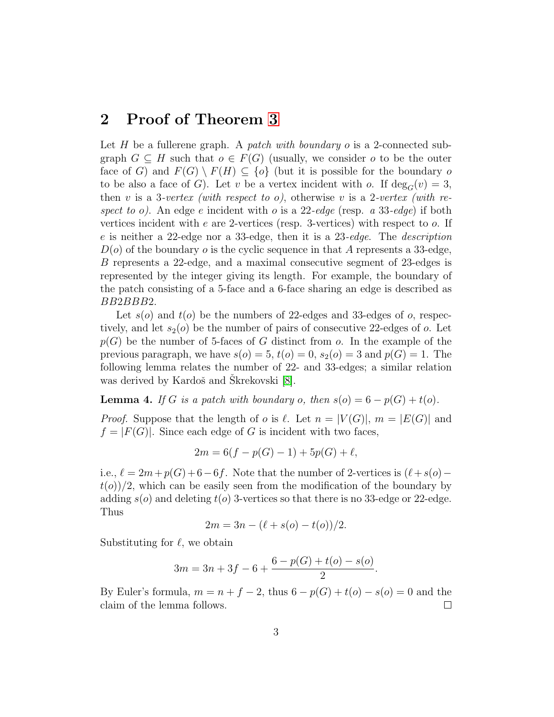### 2 Proof of Theorem [3](#page-1-0)

Let H be a fullerene graph. A patch with boundary o is a 2-connected subgraph  $G \subseteq H$  such that  $o \in F(G)$  (usually, we consider o to be the outer face of G) and  $F(G) \setminus F(H) \subseteq \{o\}$  (but it is possible for the boundary o to be also a face of G). Let v be a vertex incident with o. If  $deg_G(v) = 3$ , then v is a 3-vertex (with respect to o), otherwise v is a 2-vertex (with respect to o). An edge e incident with o is a 22-edge (resp. a 33-edge) if both vertices incident with e are 2-vertices (resp. 3-vertices) with respect to o. If e is neither a 22-edge nor a 33-edge, then it is a 23-edge. The description  $D(\rho)$  of the boundary  $\rho$  is the cyclic sequence in that A represents a 33-edge, B represents a 22-edge, and a maximal consecutive segment of 23-edges is represented by the integer giving its length. For example, the boundary of the patch consisting of a 5-face and a 6-face sharing an edge is described as BB2BBB2.

Let  $s(o)$  and  $t(o)$  be the numbers of 22-edges and 33-edges of o, respectively, and let  $s_2(o)$  be the number of pairs of consecutive 22-edges of o. Let  $p(G)$  be the number of 5-faces of G distinct from o. In the example of the previous paragraph, we have  $s(o) = 5$ ,  $t(o) = 0$ ,  $s_2(o) = 3$  and  $p(G) = 1$ . The following lemma relates the number of 22- and 33-edges; a similar relation was derived by Kardoš and Skrekovski [\[8\]](#page-13-6).

<span id="page-2-0"></span>**Lemma 4.** If G is a patch with boundary o, then  $s(o) = 6 - p(G) + t(o)$ .

*Proof.* Suppose that the length of o is  $\ell$ . Let  $n = |V(G)|$ ,  $m = |E(G)|$  and  $f = |F(G)|$ . Since each edge of G is incident with two faces,

$$
2m = 6(f - p(G) - 1) + 5p(G) + \ell,
$$

i.e.,  $\ell = 2m+p(G)+6-6f$ . Note that the number of 2-vertices is  $(\ell+s(o)$  $t(\sigma)/2$ , which can be easily seen from the modification of the boundary by adding  $s(o)$  and deleting  $t(o)$  3-vertices so that there is no 33-edge or 22-edge. Thus

$$
2m = 3n - (\ell + s(o) - t(o))/2.
$$

Substituting for  $\ell$ , we obtain

$$
3m = 3n + 3f - 6 + \frac{6 - p(G) + t(o) - s(o)}{2}.
$$

By Euler's formula,  $m = n + f - 2$ , thus  $6 - p(G) + t(o) - s(o) = 0$  and the claim of the lemma follows.  $\Box$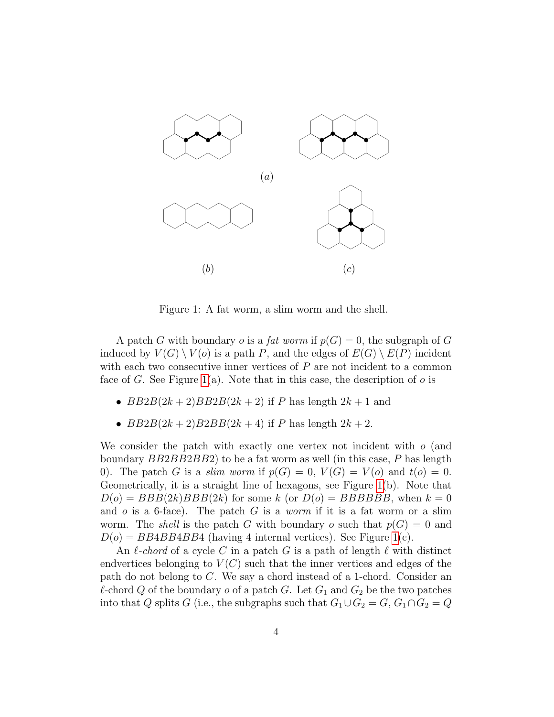

<span id="page-3-0"></span>Figure 1: A fat worm, a slim worm and the shell.

A patch G with boundary o is a fat worm if  $p(G) = 0$ , the subgraph of G induced by  $V(G) \setminus V(o)$  is a path P, and the edges of  $E(G) \setminus E(P)$  incident with each two consecutive inner vertices of  $P$  are not incident to a common face of G. See Figure [1\(](#page-3-0)a). Note that in this case, the description of  $\sigma$  is

- $BB2B(2k+2)BB2B(2k+2)$  if P has length  $2k+1$  and
- $BB2B(2k+2)B2BB(2k+4)$  if P has length  $2k+2$ .

We consider the patch with exactly one vertex not incident with  $o$  (and boundary  $BB2BB2BB2$ ) to be a fat worm as well (in this case,  $P$  has length 0). The patch G is a slim worm if  $p(G) = 0$ ,  $V(G) = V(o)$  and  $t(o) = 0$ . Geometrically, it is a straight line of hexagons, see Figure [1\(](#page-3-0)b). Note that  $D(o) = BBB(2k)BBB(2k)$  for some k (or  $D(o) = BBBBBB$ , when  $k = 0$ and  $o$  is a 6-face). The patch  $G$  is a worm if it is a fat worm or a slim worm. The *shell* is the patch G with boundary o such that  $p(G) = 0$  and  $D(o) = BB4BB4BB4$  (having 4 internal vertices). See Figure [1\(](#page-3-0)c).

An  $\ell$ -chord of a cycle C in a patch G is a path of length  $\ell$  with distinct endvertices belonging to  $V(C)$  such that the inner vertices and edges of the path do not belong to C. We say a chord instead of a 1-chord. Consider an  $\ell$ -chord Q of the boundary o of a patch G. Let  $G_1$  and  $G_2$  be the two patches into that Q splits G (i.e., the subgraphs such that  $G_1 \cup G_2 = G$ ,  $G_1 \cap G_2 = Q$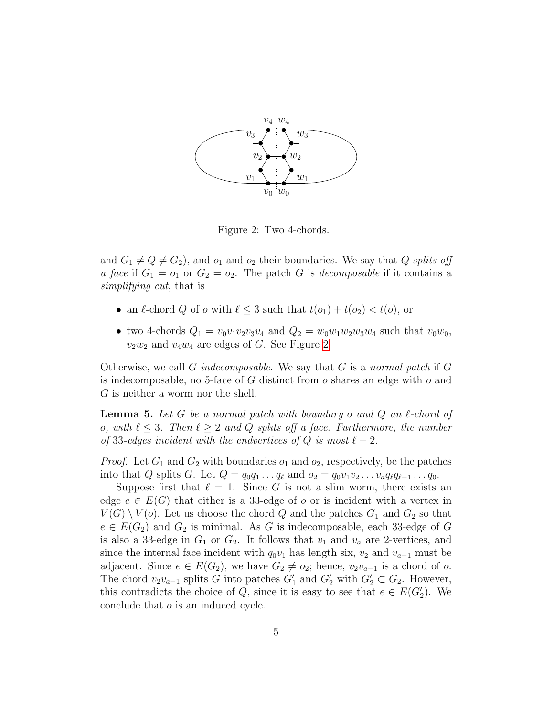

<span id="page-4-0"></span>Figure 2: Two 4-chords.

and  $G_1 \neq Q \neq G_2$ , and  $o_1$  and  $o_2$  their boundaries. We say that Q splits off a face if  $G_1 = o_1$  or  $G_2 = o_2$ . The patch G is decomposable if it contains a simplifying cut, that is

- an  $\ell$ -chord  $Q$  of  $o$  with  $\ell \leq 3$  such that  $t(o_1) + t(o_2) < t(o)$ , or
- two 4-chords  $Q_1 = v_0 v_1 v_2 v_3 v_4$  and  $Q_2 = w_0 w_1 w_2 w_3 w_4$  such that  $v_0 w_0$ ,  $v_2w_2$  and  $v_4w_4$  are edges of G. See Figure [2.](#page-4-0)

Otherwise, we call G indecomposable. We say that  $G$  is a normal patch if  $G$ is indecomposable, no 5-face of  $G$  distinct from  $o$  shares an edge with  $o$  and G is neither a worm nor the shell.

<span id="page-4-1"></span>**Lemma 5.** Let G be a normal patch with boundary o and  $Q$  an  $\ell$ -chord of o, with  $\ell \leq 3$ . Then  $\ell \geq 2$  and Q splits off a face. Furthermore, the number of 33-edges incident with the endvertices of Q is most  $\ell - 2$ .

*Proof.* Let  $G_1$  and  $G_2$  with boundaries  $o_1$  and  $o_2$ , respectively, be the patches into that Q splits G. Let  $Q = q_0q_1 \ldots q_\ell$  and  $o_2 = q_0v_1v_2 \ldots v_aq_\ell q_{\ell-1} \ldots q_0$ .

Suppose first that  $\ell = 1$ . Since G is not a slim worm, there exists an edge  $e \in E(G)$  that either is a 33-edge of o or is incident with a vertex in  $V(G) \setminus V(o)$ . Let us choose the chord Q and the patches  $G_1$  and  $G_2$  so that  $e \in E(G_2)$  and  $G_2$  is minimal. As G is indecomposable, each 33-edge of G is also a 33-edge in  $G_1$  or  $G_2$ . It follows that  $v_1$  and  $v_a$  are 2-vertices, and since the internal face incident with  $q_0v_1$  has length six,  $v_2$  and  $v_{a-1}$  must be adjacent. Since  $e \in E(G_2)$ , we have  $G_2 \neq o_2$ ; hence,  $v_2v_{a-1}$  is a chord of o. The chord  $v_2v_{a-1}$  splits G into patches  $G'_1$  and  $G'_2$  with  $G'_2 \subset G_2$ . However, this contradicts the choice of Q, since it is easy to see that  $e \in E(G_2')$ . We conclude that o is an induced cycle.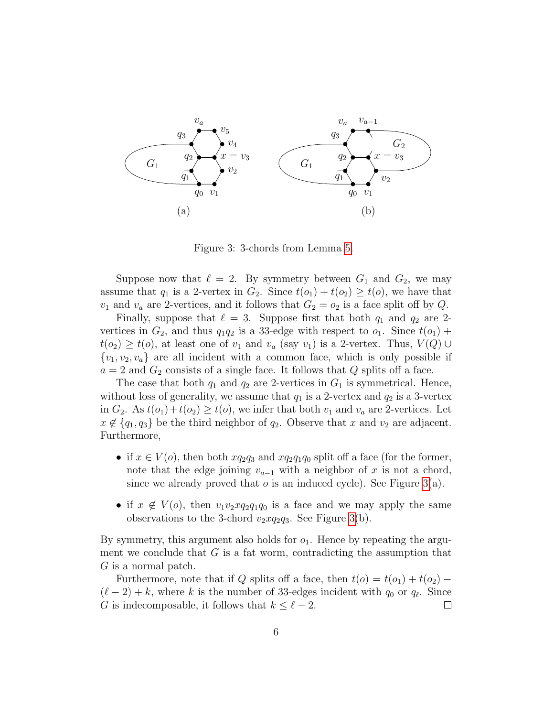

<span id="page-5-0"></span>Figure 3: 3-chords from Lemma [5.](#page-4-1)

Suppose now that  $\ell = 2$ . By symmetry between  $G_1$  and  $G_2$ , we may assume that  $q_1$  is a 2-vertex in  $G_2$ . Since  $t(o_1) + t(o_2) \geq t(o)$ , we have that  $v_1$  and  $v_a$  are 2-vertices, and it follows that  $G_2 = o_2$  is a face split off by Q.

Finally, suppose that  $\ell = 3$ . Suppose first that both  $q_1$  and  $q_2$  are 2vertices in  $G_2$ , and thus  $q_1q_2$  is a 33-edge with respect to  $o_1$ . Since  $t(o_1)$  +  $t(o_2) \geq t(o)$ , at least one of  $v_1$  and  $v_a$  (say  $v_1$ ) is a 2-vertex. Thus,  $V(Q) \cup$  $\{v_1, v_2, v_a\}$  are all incident with a common face, which is only possible if  $a = 2$  and  $G_2$  consists of a single face. It follows that Q splits off a face.

The case that both  $q_1$  and  $q_2$  are 2-vertices in  $G_1$  is symmetrical. Hence, without loss of generality, we assume that  $q_1$  is a 2-vertex and  $q_2$  is a 3-vertex in  $G_2$ . As  $t(o_1)+t(o_2) \geq t(o)$ , we infer that both  $v_1$  and  $v_a$  are 2-vertices. Let  $x \notin \{q_1, q_3\}$  be the third neighbor of  $q_2$ . Observe that x and  $v_2$  are adjacent. Furthermore,

- if  $x \in V(o)$ , then both  $xq_2q_3$  and  $xq_2q_1q_0$  split off a face (for the former, note that the edge joining  $v_{a-1}$  with a neighbor of x is not a chord, since we already proved that  $o$  is an induced cycle). See Figure [3\(](#page-5-0)a).
- if  $x \notin V(o)$ , then  $v_1v_2xq_2q_1q_0$  is a face and we may apply the same observations to the 3-chord  $v_2xq_2q_3$ . See Figure [3\(](#page-5-0)b).

By symmetry, this argument also holds for  $o_1$ . Hence by repeating the argument we conclude that  $G$  is a fat worm, contradicting the assumption that G is a normal patch.

Furthermore, note that if Q splits off a face, then  $t(o) = t(o_1) + t(o_2)$  $(\ell - 2) + k$ , where k is the number of 33-edges incident with  $q_0$  or  $q_\ell$ . Since G is indecomposable, it follows that  $k \leq \ell - 2$ .  $\Box$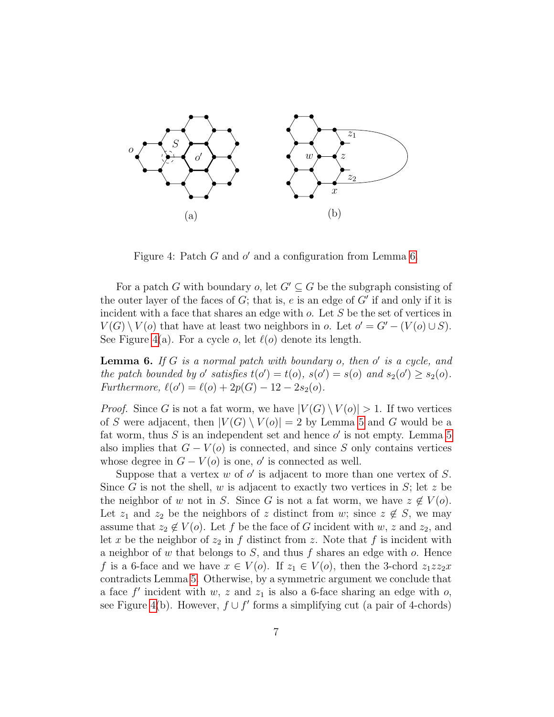

<span id="page-6-1"></span>Figure 4: Patch  $G$  and  $o'$  and a configuration from Lemma [6.](#page-6-0)

For a patch G with boundary o, let  $G' \subseteq G$  be the subgraph consisting of the outer layer of the faces of  $G$ ; that is,  $e$  is an edge of  $G'$  if and only if it is incident with a face that shares an edge with o. Let S be the set of vertices in  $V(G) \setminus V(o)$  that have at least two neighbors in  $o$ . Let  $o' = G' - (V(o) \cup S)$ . See Figure [4\(](#page-6-1)a). For a cycle  $o$ , let  $\ell(o)$  denote its length.

<span id="page-6-0"></span>**Lemma 6.** If G is a normal patch with boundary  $o$ , then  $o'$  is a cycle, and the patch bounded by  $o'$  satisfies  $t(o') = t(o)$ ,  $s(o') = s(o)$  and  $s_2(o') \geq s_2(o)$ . Furthermore,  $\ell(o') = \ell(o) + 2p(G) - 12 - 2s_2(o)$ .

*Proof.* Since G is not a fat worm, we have  $|V(G) \setminus V(o)| > 1$ . If two vertices of S were adjacent, then  $|V(G) \setminus V(o)| = 2$  by Lemma [5](#page-4-1) and G would be a fat worm, thus  $S$  is an independent set and hence  $o'$  is not empty. Lemma [5](#page-4-1) also implies that  $G - V(o)$  is connected, and since S only contains vertices whose degree in  $G - V(o)$  is one, o' is connected as well.

Suppose that a vertex  $w$  of  $o'$  is adjacent to more than one vertex of  $S$ . Since G is not the shell, w is adjacent to exactly two vertices in  $S$ ; let z be the neighbor of w not in S. Since G is not a fat worm, we have  $z \notin V(o)$ . Let  $z_1$  and  $z_2$  be the neighbors of z distinct from w; since  $z \notin S$ , we may assume that  $z_2 \notin V(o)$ . Let f be the face of G incident with w, z and  $z_2$ , and let x be the neighbor of  $z_2$  in f distinct from z. Note that f is incident with a neighbor of w that belongs to  $S$ , and thus f shares an edge with  $o$ . Hence f is a 6-face and we have  $x \in V(o)$ . If  $z_1 \in V(o)$ , then the 3-chord  $z_1zz_2x$ contradicts Lemma [5.](#page-4-1) Otherwise, by a symmetric argument we conclude that a face  $f'$  incident with  $w, z$  and  $z<sub>1</sub>$  is also a 6-face sharing an edge with  $o$ , see Figure [4\(](#page-6-1)b). However,  $f \cup f'$  forms a simplifying cut (a pair of 4-chords)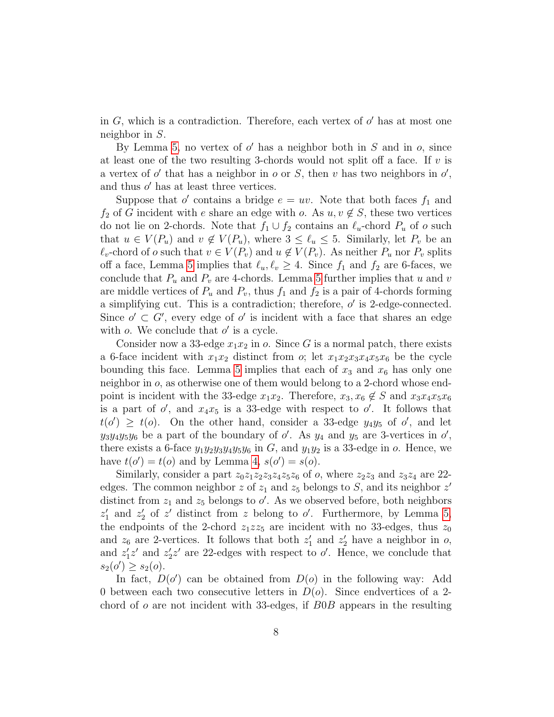in  $G$ , which is a contradiction. Therefore, each vertex of  $o'$  has at most one neighbor in S.

By Lemma [5,](#page-4-1) no vertex of  $o'$  has a neighbor both in  $S$  and in  $o$ , since at least one of the two resulting 3-chords would not split off a face. If  $v$  is a vertex of  $o'$  that has a neighbor in  $o$  or  $S$ , then  $v$  has two neighbors in  $o'$ , and thus  $o'$  has at least three vertices.

Suppose that  $o'$  contains a bridge  $e = uv$ . Note that both faces  $f_1$  and  $f_2$  of G incident with e share an edge with o. As  $u, v \notin S$ , these two vertices do not lie on 2-chords. Note that  $f_1 \cup f_2$  contains an  $\ell_u$ -chord  $P_u$  of o such that  $u \in V(P_u)$  and  $v \notin V(P_u)$ , where  $3 \leq \ell_u \leq 5$ . Similarly, let  $P_v$  be an  $\ell_v$ -chord of o such that  $v \in V(P_v)$  and  $u \notin V(P_v)$ . As neither  $P_u$  nor  $P_v$  splits off a face, Lemma [5](#page-4-1) implies that  $\ell_u, \ell_v \geq 4$ . Since  $f_1$  and  $f_2$  are 6-faces, we conclude that  $P_u$  and  $P_v$  are 4-chords. Lemma [5](#page-4-1) further implies that u and v are middle vertices of  $P_u$  and  $P_v$ , thus  $f_1$  and  $f_2$  is a pair of 4-chords forming a simplifying cut. This is a contradiction; therefore,  $o'$  is 2-edge-connected. Since  $o' \subset G'$ , every edge of  $o'$  is incident with a face that shares an edge with  $o$ . We conclude that  $o'$  is a cycle.

Consider now a 33-edge  $x_1x_2$  in o. Since G is a normal patch, there exists a 6-face incident with  $x_1x_2$  distinct from  $\alpha$ ; let  $x_1x_2x_3x_4x_5x_6$  be the cycle bounding this face. Lemma [5](#page-4-1) implies that each of  $x_3$  and  $x_6$  has only one neighbor in o, as otherwise one of them would belong to a 2-chord whose endpoint is incident with the 33-edge  $x_1x_2$ . Therefore,  $x_3, x_6 \notin S$  and  $x_3x_4x_5x_6$ is a part of  $o'$ , and  $x_4x_5$  is a 33-edge with respect to  $o'$ . It follows that  $t(\sigma) \geq t(\sigma)$ . On the other hand, consider a 33-edge  $y_4y_5$  of  $\sigma'$ , and let  $y_3y_4y_5y_6$  be a part of the boundary of  $o'$ . As  $y_4$  and  $y_5$  are 3-vertices in  $o'$ , there exists a 6-face  $y_1y_2y_3y_4y_5y_6$  in G, and  $y_1y_2$  is a 33-edge in o. Hence, we have  $t(o') = t(o)$  and by Lemma [4,](#page-2-0)  $s(o') = s(o)$ .

Similarly, consider a part  $z_0z_1z_2z_3z_4z_5z_6$  of o, where  $z_2z_3$  and  $z_3z_4$  are 22edges. The common neighbor z of  $z_1$  and  $z_5$  belongs to S, and its neighbor  $z'$ distinct from  $z_1$  and  $z_5$  belongs to  $o'$ . As we observed before, both neighbors  $z'_1$  and  $z'_2$  of  $z'$  distinct from  $z$  belong to  $o'$ . Furthermore, by Lemma [5,](#page-4-1) the endpoints of the 2-chord  $z_1z\overline{z_5}$  are incident with no 33-edges, thus  $z_0$ and  $z_6$  are 2-vertices. It follows that both  $z'_1$  and  $z'_2$  have a neighbor in  $o$ , and  $z_1'z'$  and  $z_2'z'$  are 22-edges with respect to  $o'$ . Hence, we conclude that  $s_2(o') \geq s_2(o).$ 

In fact,  $D(o')$  can be obtained from  $D(o)$  in the following way: Add 0 between each two consecutive letters in  $D(o)$ . Since endvertices of a 2chord of  $\sigma$  are not incident with 33-edges, if  $B0B$  appears in the resulting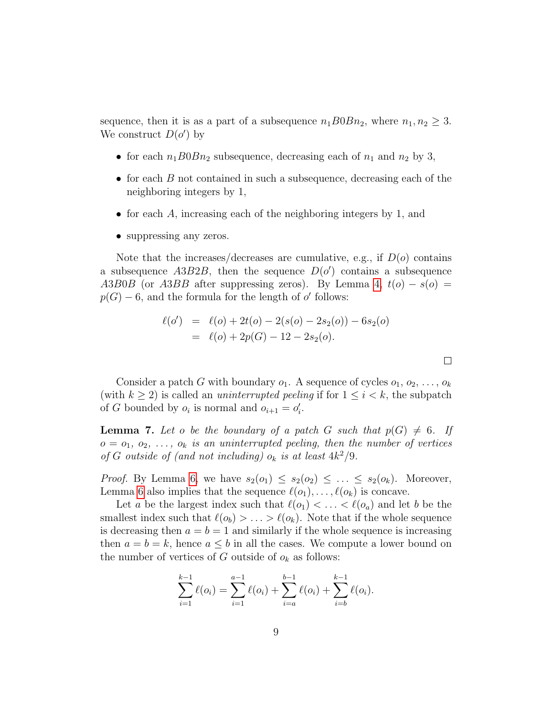sequence, then it is as a part of a subsequence  $n_1B0Bn_2$ , where  $n_1, n_2 \geq 3$ . We construct  $D(o')$  by

- for each  $n_1B0Bn_2$  subsequence, decreasing each of  $n_1$  and  $n_2$  by 3,
- for each  $B$  not contained in such a subsequence, decreasing each of the neighboring integers by 1,
- for each  $A$ , increasing each of the neighboring integers by 1, and
- suppressing any zeros.

Note that the increases/decreases are cumulative, e.g., if  $D(o)$  contains a subsequence  $A3B2B$ , then the sequence  $D(\mathfrak{o}')$  contains a subsequence A3B0B (or A3BB after suppressing zeros). By Lemma [4,](#page-2-0)  $t(o) - s(o) =$  $p(G) - 6$ , and the formula for the length of  $o'$  follows:

$$
\ell(\sigma') = \ell(\sigma) + 2t(\sigma) - 2(s(\sigma) - 2s_2(\sigma)) - 6s_2(\sigma)
$$
  
=  $\ell(\sigma) + 2p(G) - 12 - 2s_2(\sigma)$ .

 $\Box$ 

Consider a patch G with boundary  $o_1$ . A sequence of cycles  $o_1, o_2, \ldots, o_k$ (with  $k \geq 2$ ) is called an *uninterrupted peeling* if for  $1 \leq i \leq k$ , the subpatch of G bounded by  $o_i$  is normal and  $o_{i+1} = o'_i$ .

<span id="page-8-0"></span>**Lemma 7.** Let o be the boundary of a patch G such that  $p(G) \neq 6$ . If  $o = o_1, o_2, \ldots, o_k$  is an uninterrupted peeling, then the number of vertices of G outside of (and not including)  $o_k$  is at least  $4k^2/9$ .

*Proof.* By Lemma [6,](#page-6-0) we have  $s_2(o_1) \leq s_2(o_2) \leq \ldots \leq s_2(o_k)$ . Moreover, Lemma [6](#page-6-0) also implies that the sequence  $\ell(o_1), \ldots, \ell(o_k)$  is concave.

Let a be the largest index such that  $\ell(o_1) < \ldots < \ell(o_a)$  and let b be the smallest index such that  $\ell(o_b) > \ldots > \ell(o_k)$ . Note that if the whole sequence is decreasing then  $a = b = 1$  and similarly if the whole sequence is increasing then  $a = b = k$ , hence  $a \leq b$  in all the cases. We compute a lower bound on the number of vertices of G outside of  $o_k$  as follows:

$$
\sum_{i=1}^{k-1} \ell(o_i) = \sum_{i=1}^{a-1} \ell(o_i) + \sum_{i=a}^{b-1} \ell(o_i) + \sum_{i=b}^{k-1} \ell(o_i).
$$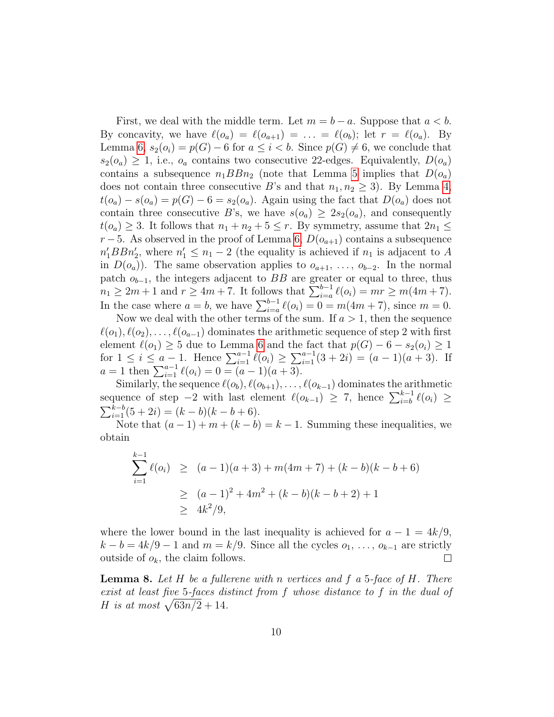First, we deal with the middle term. Let  $m = b - a$ . Suppose that  $a < b$ . By concavity, we have  $\ell(o_a) = \ell(o_{a+1}) = \ldots = \ell(o_b)$ ; let  $r = \ell(o_a)$ . By Lemma [6,](#page-6-0)  $s_2(o_i) = p(G) - 6$  for  $a \leq i < b$ . Since  $p(G) \neq 6$ , we conclude that  $s_2(o_a) \geq 1$ , i.e.,  $o_a$  contains two consecutive 22-edges. Equivalently,  $D(o_a)$ contains a subsequence  $n_1BBn_2$  (note that Lemma [5](#page-4-1) implies that  $D(o_a)$ ) does not contain three consecutive B's and that  $n_1, n_2 \geq 3$ . By Lemma [4,](#page-2-0)  $t(o_a) - s(o_a) = p(G) - 6 = s_2(o_a)$ . Again using the fact that  $D(o_a)$  does not contain three consecutive B's, we have  $s(o_a) \geq 2s_2(o_a)$ , and consequently  $t(o_a) \geq 3$ . It follows that  $n_1 + n_2 + 5 \leq r$ . By symmetry, assume that  $2n_1 \leq$  $r-5$ . As observed in the proof of Lemma [6,](#page-6-0)  $D(o_{a+1})$  contains a subsequence  $n'_1BBn'_2$ , where  $n'_1 \leq n_1 - 2$  (the equality is achieved if  $n_1$  is adjacent to A in  $D(o_a)$ ). The same observation applies to  $o_{a+1}, \ldots, o_{b-2}$ . In the normal patch  $o_{b-1}$ , the integers adjacent to BB are greater or equal to three, thus  $n_1 \ge 2m + 1$  and  $r \ge 4m + 7$ . It follows that  $\sum_{i=a}^{b-1} \ell(o_i) = mr \ge m(4m + 7)$ . In the case where  $a = b$ , we have  $\sum_{i=a}^{b-1} \ell(o_i) = 0 = m(4m + 7)$ , since  $m = 0$ .

Now we deal with the other terms of the sum. If  $a > 1$ , then the sequence  $\ell(o_1), \ell(o_2), \ldots, \ell(o_{a-1})$  dominates the arithmetic sequence of step 2 with first element  $\ell(o_1) \geq 5$  due to Lemma [6](#page-6-0) and the fact that  $p(G) - 6 - s_2(o_i) \geq 1$ for  $1 \leq i \leq a-1$ . Hence  $\sum_{i=1}^{a-1} \ell(o_i) \geq \sum_{i=1}^{a-1} (3+2i) = (a-1)(a+3)$ . If  $a = 1$  then  $\sum_{i=1}^{a-1} \ell(o_i) = 0 = (a-1)(a+3).$ 

Similarly, the sequence  $\ell(o_b), \ell(o_{b+1}), \ldots, \ell(o_{k-1})$  dominates the arithmetic sequence of step  $-2$  with last element  $\ell(o_{k-1}) \geq 7$ , hence  $\sum_{i=b}^{k-1} \ell(o_i)$  ≥  $\sum_{i=1}^{k-b} (5+2i) = (k-b)(k-b+6).$ 

Note that  $(a-1) + m + (k - b) = k - 1$ . Summing these inequalities, we obtain

$$
\sum_{i=1}^{k-1} \ell(o_i) \ge (a-1)(a+3) + m(4m+7) + (k-b)(k-b+6)
$$
  
 
$$
\ge (a-1)^2 + 4m^2 + (k-b)(k-b+2) + 1
$$
  
 
$$
\ge 4k^2/9,
$$

where the lower bound in the last inequality is achieved for  $a - 1 = 4k/9$ ,  $k - b = 4k/9 - 1$  and  $m = k/9$ . Since all the cycles  $o_1, \ldots, o_{k-1}$  are strictly outside of  $o_k$ , the claim follows. outside of  $o_k$ , the claim follows.

<span id="page-9-0"></span>**Lemma 8.** Let  $H$  be a fullerene with n vertices and  $f$  a 5-face of  $H$ . There exist at least five 5-faces distinct from f whose distance to f in the dual of H is at most  $\sqrt{63n/2} + 14$ .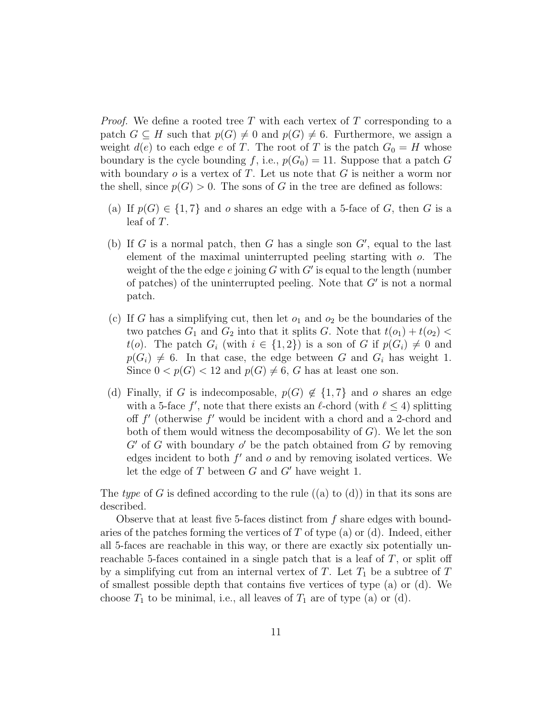*Proof.* We define a rooted tree T with each vertex of T corresponding to a patch  $G \subseteq H$  such that  $p(G) \neq 0$  and  $p(G) \neq 6$ . Furthermore, we assign a weight  $d(e)$  to each edge e of T. The root of T is the patch  $G_0 = H$  whose boundary is the cycle bounding f, i.e.,  $p(G_0) = 11$ . Suppose that a patch G with boundary  $o$  is a vertex of T. Let us note that G is neither a worm nor the shell, since  $p(G) > 0$ . The sons of G in the tree are defined as follows:

- (a) If  $p(G) \in \{1, 7\}$  and o shares an edge with a 5-face of G, then G is a leaf of T.
- (b) If G is a normal patch, then G has a single son  $G'$ , equal to the last element of the maximal uninterrupted peeling starting with o. The weight of the the edge  $e$  joining  $G$  with  $G'$  is equal to the length (number of patches) of the uninterrupted peeling. Note that  $G'$  is not a normal patch.
- (c) If G has a simplifying cut, then let  $o_1$  and  $o_2$  be the boundaries of the two patches  $G_1$  and  $G_2$  into that it splits G. Note that  $t(o_1) + t(o_2)$ t(o). The patch  $G_i$  (with  $i \in \{1,2\}$ ) is a son of G if  $p(G_i) \neq 0$  and  $p(G_i) \neq 6$ . In that case, the edge between G and  $G_i$  has weight 1. Since  $0 < p(G) < 12$  and  $p(G) \neq 6$ , G has at least one son.
- (d) Finally, if G is indecomposable,  $p(G) \notin \{1, 7\}$  and o shares an edge with a 5-face  $f'$ , note that there exists an  $\ell$ -chord (with  $\ell \leq 4$ ) splitting off  $f'$  (otherwise  $f'$  would be incident with a chord and a 2-chord and both of them would witness the decomposability of  $G$ ). We let the son  $G'$  of G with boundary  $o'$  be the patch obtained from G by removing edges incident to both  $f'$  and  $o$  and by removing isolated vertices. We let the edge of  $T$  between  $G$  and  $G'$  have weight 1.

The type of G is defined according to the rule  $((a)$  to  $(d))$  in that its sons are described.

Observe that at least five 5-faces distinct from f share edges with boundaries of the patches forming the vertices of  $T$  of type (a) or (d). Indeed, either all 5-faces are reachable in this way, or there are exactly six potentially unreachable 5-faces contained in a single patch that is a leaf of  $T$ , or split off by a simplifying cut from an internal vertex of T. Let  $T_1$  be a subtree of T of smallest possible depth that contains five vertices of type (a) or (d). We choose  $T_1$  to be minimal, i.e., all leaves of  $T_1$  are of type (a) or (d).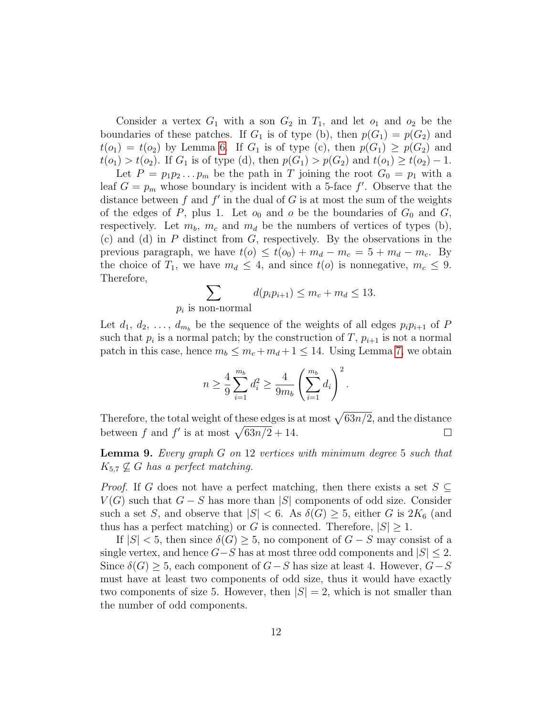Consider a vertex  $G_1$  with a son  $G_2$  in  $T_1$ , and let  $o_1$  and  $o_2$  be the boundaries of these patches. If  $G_1$  is of type (b), then  $p(G_1) = p(G_2)$  and  $t(o_1) = t(o_2)$  by Lemma [6.](#page-6-0) If  $G_1$  is of type (c), then  $p(G_1) \geq p(G_2)$  and  $t(o_1) > t(o_2)$ . If  $G_1$  is of type (d), then  $p(G_1) > p(G_2)$  and  $t(o_1) \ge t(o_2) - 1$ .

Let  $P = p_1 p_2 \dots p_m$  be the path in T joining the root  $G_0 = p_1$  with a leaf  $G = p_m$  whose boundary is incident with a 5-face  $f'$ . Observe that the distance between  $f$  and  $f'$  in the dual of  $G$  is at most the sum of the weights of the edges of P, plus 1. Let  $o_0$  and  $o$  be the boundaries of  $G_0$  and  $G$ , respectively. Let  $m_b$ ,  $m_c$  and  $m_d$  be the numbers of vertices of types (b), (c) and (d) in  $P$  distinct from  $G$ , respectively. By the observations in the previous paragraph, we have  $t(o) \leq t(o_0) + m_d - m_c = 5 + m_d - m_c$ . By the choice of  $T_1$ , we have  $m_d \leq 4$ , and since  $t(o)$  is nonnegative,  $m_c \leq 9$ . Therefore,

$$
\sum_{p_i \text{ is non-normal}} d(p_i p_{i+1}) \le m_c + m_d \le 13.
$$

Let  $d_1, d_2, \ldots, d_{m_b}$  be the sequence of the weights of all edges  $p_i p_{i+1}$  of P such that  $p_i$  is a normal patch; by the construction of T,  $p_{i+1}$  is not a normal patch in this case, hence  $m_b \leq m_c + m_d + 1 \leq 14$ . Using Lemma [7,](#page-8-0) we obtain

$$
n \ge \frac{4}{9} \sum_{i=1}^{m_b} d_i^2 \ge \frac{4}{9m_b} \left( \sum_{i=1}^{m_b} d_i \right)^2.
$$

Therefore, the total weight of these edges is at most  $\sqrt{63n/2}$ , and the distance between f and f' is at most  $\sqrt{63n/2} + 14$ .  $\Box$ 

<span id="page-11-0"></span>**Lemma 9.** Every graph  $G$  on 12 vertices with minimum degree 5 such that  $K_{5,7} \nsubseteq G$  has a perfect matching.

*Proof.* If G does not have a perfect matching, then there exists a set  $S \subseteq$  $V(G)$  such that  $G - S$  has more than |S| components of odd size. Consider such a set S, and observe that  $|S| < 6$ . As  $\delta(G) \geq 5$ , either G is  $2K_6$  (and thus has a perfect matching) or G is connected. Therefore,  $|S| \geq 1$ .

If  $|S| < 5$ , then since  $\delta(G) \geq 5$ , no component of  $G - S$  may consist of a single vertex, and hence  $G-S$  has at most three odd components and  $|S| \leq 2$ . Since  $\delta(G) \geq 5$ , each component of  $G-S$  has size at least 4. However,  $G-S$ must have at least two components of odd size, thus it would have exactly two components of size 5. However, then  $|S| = 2$ , which is not smaller than the number of odd components.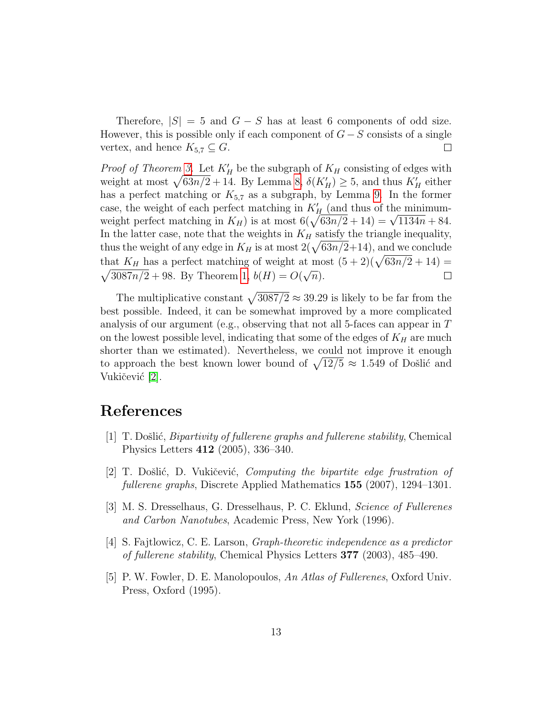Therefore,  $|S| = 5$  and  $G - S$  has at least 6 components of odd size. However, this is possible only if each component of  $G-S$  consists of a single vertex, and hence  $K_{5,7} \subseteq G$ .  $\Box$ 

*Proof of Theorem [3.](#page-1-0)* Let  $K'_H$  be the subgraph of  $K_H$  consisting of edges with weight at most  $\sqrt{63n/2} + 14$ . By Lemma [8,](#page-9-0)  $\delta(K_H') \ge 5$ , and thus  $K_H'$  either has a perfect matching or  $K_{5,7}$  as a subgraph, by Lemma [9.](#page-11-0) In the former case, the weight of each perfect matching in  $K_H$  (and thus of the minimumcase, the weight of each perfect matching in  $K_H$  (and thus of the minimum-<br>weight perfect matching in  $K_H$ ) is at most  $6(\sqrt{63n/2} + 14) = \sqrt{1134n} + 84$ . In the latter case, note that the weights in  $K_H$  satisfy the triangle inequality, thus the weight of any edge in  $K_H$  is at most  $2(\sqrt{63n/2}+14)$ , and we conclude that  $K_H$  has a perfect matching of weight at most  $(5+2)(\sqrt{63n/2}+14)$  =  $\sqrt{3087n/2} + 98$ . By Theorem [1,](#page-1-1)  $b(H) = O(\sqrt{n})$ .  $\Box$ 

The multiplicative constant  $\sqrt{3087/2} \approx 39.29$  is likely to be far from the best possible. Indeed, it can be somewhat improved by a more complicated analysis of our argument (e.g., observing that not all 5-faces can appear in T on the lowest possible level, indicating that some of the edges of  $K_H$  are much shorter than we estimated). Nevertheless, we could not improve it enough to approach the best known lower bound of  $\sqrt{12/5} \approx 1.549$  of Došlić and Vukičević [\[2\]](#page-12-4).

## References

- <span id="page-12-3"></span>[1] T. Došlić, *Bipartivity of fullerene graphs and fullerene stability*, Chemical Physics Letters 412 (2005), 336–340.
- <span id="page-12-4"></span>[2] T. Došlić, D. Vukičević, *Computing the bipartite edge frustration of* fullerene graphs, Discrete Applied Mathematics 155 (2007), 1294–1301.
- <span id="page-12-0"></span>[3] M. S. Dresselhaus, G. Dresselhaus, P. C. Eklund, Science of Fullerenes and Carbon Nanotubes, Academic Press, New York (1996).
- <span id="page-12-2"></span>[4] S. Fajtlowicz, C. E. Larson, Graph-theoretic independence as a predictor of fullerene stability, Chemical Physics Letters 377 (2003), 485–490.
- <span id="page-12-1"></span>[5] P. W. Fowler, D. E. Manolopoulos, An Atlas of Fullerenes, Oxford Univ. Press, Oxford (1995).